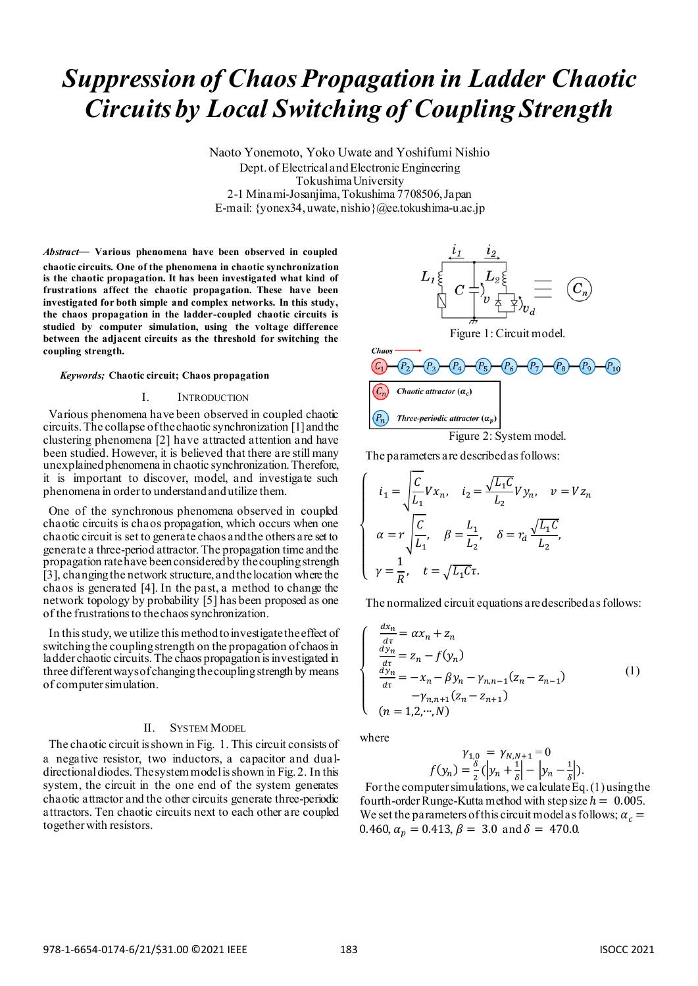# *Suppression of Chaos Propagation in Ladder Chaotic Circuits by Local Switching of Coupling Strength*

Naoto Yonemoto, Yoko Uwate and Yoshifumi Nishio Dept. of Electrical and Electronic Engineering Tokushima University 2-1 Minami-Josanjima, Tokushima 7708506, Japan E-mail: {yonex34, uwate, nishio}@ee.tokushima-u.ac.jp

*Abstract*— **Various phenomena have been observed in coupled chaotic circuits. One of the phenomena in chaotic synchronization is the chaotic propagation. It has been investigated what kind of frustrations affect the chaotic propagation. These have been investigated for both simple and complex networks. In this study, the chaos propagation in the ladder-coupled chaotic circuits is studied by computer simulation, using the voltage difference between the adjacent circuits as the threshold for switching the coupling strength.**

#### *Keywords;* **Chaotic circuit; Chaos propagation**

#### I. INTRODUCTION

Various phenomena have been observed in coupled chaotic circuits. The collapse of the chaotic synchronization [1] and the clustering phenomena [2] have attracted attention and have been studied. However, it is believed that there are still many unexplained phenomena in chaotic synchronization. Therefore, it is important to discover, model, and investigate such phenomena in order to understand and utilize them.

One of the synchronous phenomena observed in coupled chaotic circuits is chaos propagation, which occurs when one chaotic circuit is set to generate chaos and the others are set to generate a three-period attractor.The propagation time and the propagation rate have been considered by the coupling strength [3], changing the network structure, and the location where the chaos is generated [4]. In the past, a method to change the network topology by probability [5] has been proposed as one of the frustrations to the chaos synchronization.

In this study, we utilize this method to investigate the effect of switching the coupling strength on the propagation of chaos in ladder chaotic circuits. The chaos propagation is investigated in three different ways of changing the coupling strength by means of computer simulation.

## II. SYSTEM MODEL

The chaotic circuit is shown in Fig. 1. This circuit consists of a negative resistor, two inductors, a capacitor and dualdirectional diodes. The system model is shown in Fig. 2. In this system, the circuit in the one end of the system generates chaotic attractor and the other circuits generate three-periodic attractors. Ten chaotic circuits next to each other are coupled together with resistors.



The parameters are described as follows:

$$
\begin{cases}\n i_1 = \sqrt{\frac{C}{L_1}} V x_n, \quad i_2 = \frac{\sqrt{L_1 C}}{L_2} V y_n, \quad v = V z_n \\
 \alpha = r \sqrt{\frac{C}{L_1}}, \quad \beta = \frac{L_1}{L_2}, \quad \delta = r_d \frac{\sqrt{L_1 C}}{L_2}, \\
 \gamma = \frac{1}{R}, \quad t = \sqrt{L_1 C} \tau.\n\end{cases}
$$

The normalized circuit equations are described as follows:

$$
\begin{cases}\n\frac{dx_n}{d\tau} = \alpha x_n + z_n \\
\frac{dy_n}{d\tau} = z_n - f(y_n) \\
\frac{dy_n}{d\tau} = -x_n - \beta y_n - \gamma_{n,n-1} (z_n - z_{n-1}) \\
-\gamma_{n,n+1} (z_n - z_{n+1}) \\
(n = 1, 2, \cdots, N)\n\end{cases} (1)
$$

where

$$
\gamma_{1,0} = \gamma_{N,N+1} = 0
$$
  

$$
f(y_n) = \frac{\delta}{2} (\left| y_n + \frac{1}{\delta} \right| - \left| y_n - \frac{1}{\delta} \right|).
$$

For the computer simulations, we calculate Eq. (1) using the fourth-order Runge-Kutta method with step size  $h = 0.005$ . We set the parameters of this circuit model as follows;  $\alpha_c =$ 0.460,  $\alpha_p = 0.413$ ,  $\beta = 3.0$  and  $\delta = 470.0$ .